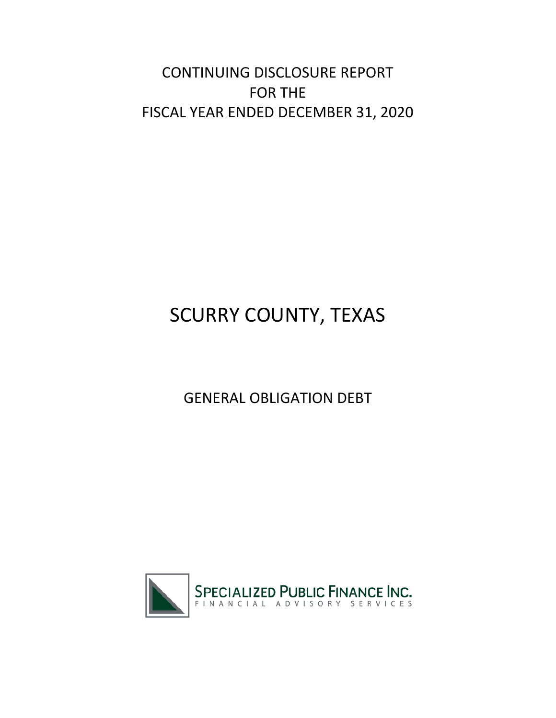CONTINUING DISCLOSURE REPORT FOR THE FISCAL YEAR ENDED DECEMBER 31, 2020

# SCURRY COUNTY, TEXAS

# GENERAL OBLIGATION DEBT

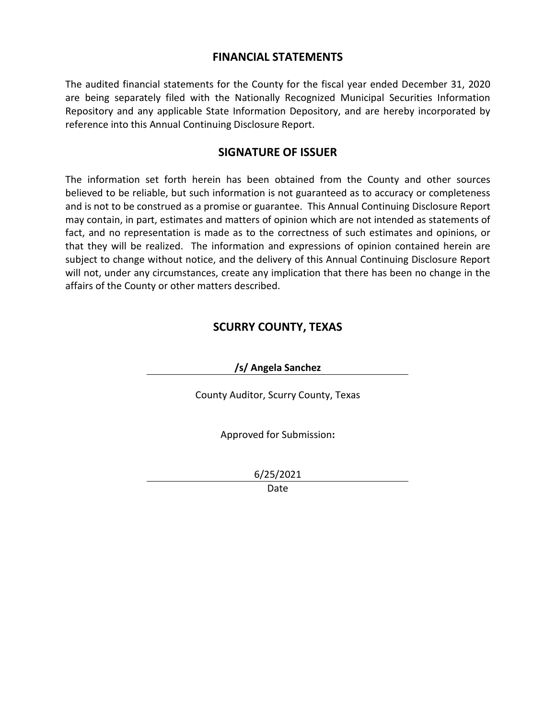### **FINANCIAL STATEMENTS**

The audited financial statements for the County for the fiscal year ended December 31, 2020 are being separately filed with the Nationally Recognized Municipal Securities Information Repository and any applicable State Information Depository, and are hereby incorporated by reference into this Annual Continuing Disclosure Report.

# **SIGNATURE OF ISSUER**

The information set forth herein has been obtained from the County and other sources believed to be reliable, but such information is not guaranteed as to accuracy or completeness and is not to be construed as a promise or guarantee. This Annual Continuing Disclosure Report may contain, in part, estimates and matters of opinion which are not intended as statements of fact, and no representation is made as to the correctness of such estimates and opinions, or that they will be realized. The information and expressions of opinion contained herein are subject to change without notice, and the delivery of this Annual Continuing Disclosure Report will not, under any circumstances, create any implication that there has been no change in the affairs of the County or other matters described.

# **SCURRY COUNTY, TEXAS**

**/s/ Angela Sanchez**

County Auditor, Scurry County, Texas

Approved for Submission**:**

6/25/2021

Date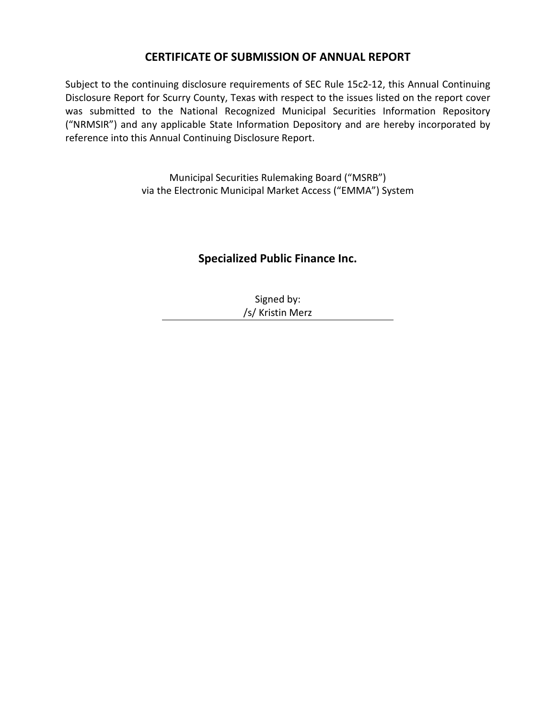# **CERTIFICATE OF SUBMISSION OF ANNUAL REPORT**

Subject to the continuing disclosure requirements of SEC Rule 15c2-12, this Annual Continuing Disclosure Report for Scurry County, Texas with respect to the issues listed on the report cover was submitted to the National Recognized Municipal Securities Information Repository ("NRMSIR") and any applicable State Information Depository and are hereby incorporated by reference into this Annual Continuing Disclosure Report.

> Municipal Securities Rulemaking Board ("MSRB") via the Electronic Municipal Market Access ("EMMA") System

# **Specialized Public Finance Inc.**

Signed by: /s/ Kristin Merz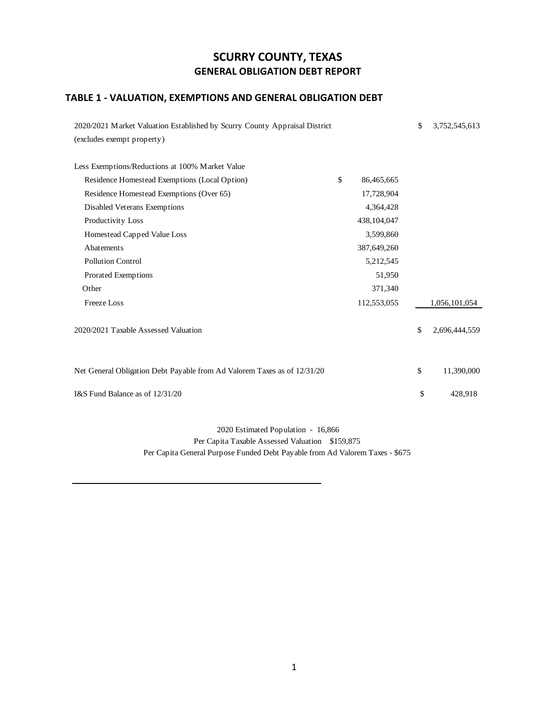# **SCURRY COUNTY, TEXAS GENERAL OBLIGATION DEBT REPORT**

# **TABLE 1 - VALUATION, EXEMPTIONS AND GENERAL OBLIGATION DEBT**

| 2020/2021 Market Valuation Established by Scurry County Appraisal District |                  | \$<br>3,752,545,613 |
|----------------------------------------------------------------------------|------------------|---------------------|
| (excludes exempt property)                                                 |                  |                     |
| Less Exemptions/Reductions at 100% Market Value                            |                  |                     |
| Residence Homestead Exemptions (Local Option)                              | \$<br>86,465,665 |                     |
| Residence Homestead Exemptions (Over 65)                                   | 17,728,904       |                     |
| Disabled Veterans Exemptions                                               | 4,364,428        |                     |
| Productivity Loss                                                          | 438,104,047      |                     |
| Homestead Capped Value Loss                                                | 3,599,860        |                     |
| Abatements                                                                 | 387,649,260      |                     |
| <b>Pollution Control</b>                                                   | 5,212,545        |                     |
| Prorated Exemptions                                                        | 51,950           |                     |
| Other                                                                      | 371,340          |                     |
| <b>Freeze</b> Loss                                                         | 112,553,055      | 1,056,101,054       |
| 2020/2021 Taxable Assessed Valuation                                       |                  | \$<br>2,696,444,559 |
| Net General Obligation Debt Payable from Ad Valorem Taxes as of 12/31/20   |                  | \$<br>11,390,000    |
| I&S Fund Balance as of 12/31/20                                            |                  | \$<br>428,918       |

 2020 Estimated Population - 16,866 Per Capita Taxable Assessed Valuation \$159,875 Per Capita General Purpose Funded Debt Payable from Ad Valorem Taxes - \$675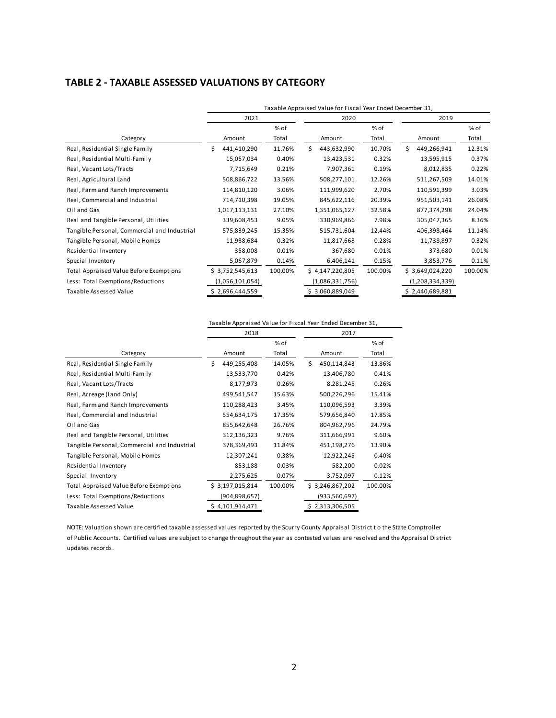#### **TABLE 2 - TAXABLE ASSESSED VALUATIONS BY CATEGORY**

|                                              | Taxable Appraised Value for Fiscal Year Ended December 31, |         |                   |         |                   |         |  |  |  |
|----------------------------------------------|------------------------------------------------------------|---------|-------------------|---------|-------------------|---------|--|--|--|
|                                              | 2021                                                       |         | 2020              |         | 2019              |         |  |  |  |
|                                              |                                                            | % of    |                   | $%$ of  |                   | % of    |  |  |  |
| Category                                     | Amount                                                     | Total   | Amount            | Total   | Amount            | Total   |  |  |  |
| Real, Residential Single Family              | 441,410,290                                                | 11.76%  | \$<br>443,632,990 | 10.70%  | 449,266,941<br>ς. | 12.31%  |  |  |  |
| Real, Residential Multi-Family               | 15,057,034                                                 | 0.40%   | 13,423,531        | 0.32%   | 13,595,915        | 0.37%   |  |  |  |
| Real, Vacant Lots/Tracts                     | 7,715,649                                                  | 0.21%   | 7,907,361         | 0.19%   | 8,012,835         | 0.22%   |  |  |  |
| Real, Agricultural Land                      | 508,866,722                                                | 13.56%  | 508,277,101       | 12.26%  | 511,267,509       | 14.01%  |  |  |  |
| Real, Farm and Ranch Improvements            | 114,810,120                                                | 3.06%   | 111,999,620       | 2.70%   | 110,591,399       | 3.03%   |  |  |  |
| Real, Commercial and Industrial              | 714,710,398                                                | 19.05%  | 845,622,116       | 20.39%  | 951,503,141       | 26.08%  |  |  |  |
| Oil and Gas                                  | 1,017,113,131                                              | 27.10%  | 1,351,065,127     | 32.58%  | 877,374,298       | 24.04%  |  |  |  |
| Real and Tangible Personal, Utilities        | 339,608,453                                                | 9.05%   | 330,969,866       | 7.98%   | 305,047,365       | 8.36%   |  |  |  |
| Tangible Personal, Commercial and Industrial | 575,839,245                                                | 15.35%  | 515,731,604       | 12.44%  | 406,398,464       | 11.14%  |  |  |  |
| Tangible Personal, Mobile Homes              | 11,988,684                                                 | 0.32%   | 11,817,668        | 0.28%   | 11,738,897        | 0.32%   |  |  |  |
| Residential Inventory                        | 358,008                                                    | 0.01%   | 367,680           | 0.01%   | 373,680           | 0.01%   |  |  |  |
| Special Inventory                            | 5,067,879                                                  | 0.14%   | 6,406,141         | 0.15%   | 3,853,776         | 0.11%   |  |  |  |
| Total Appraised Value Before Exemptions      | \$3,752,545,613                                            | 100.00% | \$4,147,220,805   | 100.00% | \$3,649,024,220   | 100.00% |  |  |  |
| Less: Total Exemptions/Reductions            | (1,056,101,054)                                            |         | (1,086,331,756)   |         | (1,208,334,339)   |         |  |  |  |
| Taxable Assessed Value                       | 2,696,444,559                                              |         | 3,060,889,049     |         | 2,440,689,881     |         |  |  |  |

|                                              | Taxable Appraised Value for Fiscal Year Ended December 31, |                 |         |      |                 |         |  |  |
|----------------------------------------------|------------------------------------------------------------|-----------------|---------|------|-----------------|---------|--|--|
|                                              |                                                            | 2018            |         | 2017 |                 |         |  |  |
|                                              |                                                            |                 | % of    |      |                 | % of    |  |  |
| Category                                     |                                                            | Amount          | Total   |      | Amount          | Total   |  |  |
| Real, Residential Single Family              | Ś                                                          | 449,255,408     | 14.05%  | Ś    | 450,114,843     | 13.86%  |  |  |
| Real, Residential Multi-Family               |                                                            | 13,533,770      | 0.42%   |      | 13,406,780      | 0.41%   |  |  |
| Real, Vacant Lots/Tracts                     |                                                            | 8,177,973       | 0.26%   |      | 8,281,245       | 0.26%   |  |  |
| Real, Acreage (Land Only)                    |                                                            | 499,541,547     | 15.63%  |      | 500,226,296     | 15.41%  |  |  |
| Real, Farm and Ranch Improvements            |                                                            | 110,288,423     | 3.45%   |      | 110,096,593     | 3.39%   |  |  |
| Real, Commercial and Industrial              |                                                            | 554,634,175     | 17.35%  |      | 579,656,840     | 17.85%  |  |  |
| Oil and Gas                                  |                                                            | 855,642,648     | 26.76%  |      | 804,962,796     | 24.79%  |  |  |
| Real and Tangible Personal, Utilities        |                                                            | 312,136,323     | 9.76%   |      | 311,666,991     | 9.60%   |  |  |
| Tangible Personal, Commercial and Industrial |                                                            | 378,369,493     | 11.84%  |      | 451,198,276     | 13.90%  |  |  |
| Tangible Personal, Mobile Homes              |                                                            | 12,307,241      | 0.38%   |      | 12,922,245      | 0.40%   |  |  |
| Residential Inventory                        |                                                            | 853,188         | 0.03%   |      | 582,200         | 0.02%   |  |  |
| Special Inventory                            |                                                            | 2,275,625       | 0.07%   |      | 3,752,097       | 0.12%   |  |  |
| Total Appraised Value Before Exemptions      |                                                            | \$3,197,015,814 | 100.00% |      | \$3,246,867,202 | 100.00% |  |  |
| Less: Total Exemptions/Reductions            |                                                            | (904,898,657)   |         |      | (933,560,697)   |         |  |  |
| Taxable Assessed Value                       |                                                            | \$4,101,914,471 |         |      | \$2,313,306,505 |         |  |  |

NOTE: Valuation shown are certified taxable assessed values reported by the Scurry County Appraisal District t o the State Comptroller of Public Accounts. Certified values are subject to change throughout the year as contested values are resolved and the Appraisal District updates records.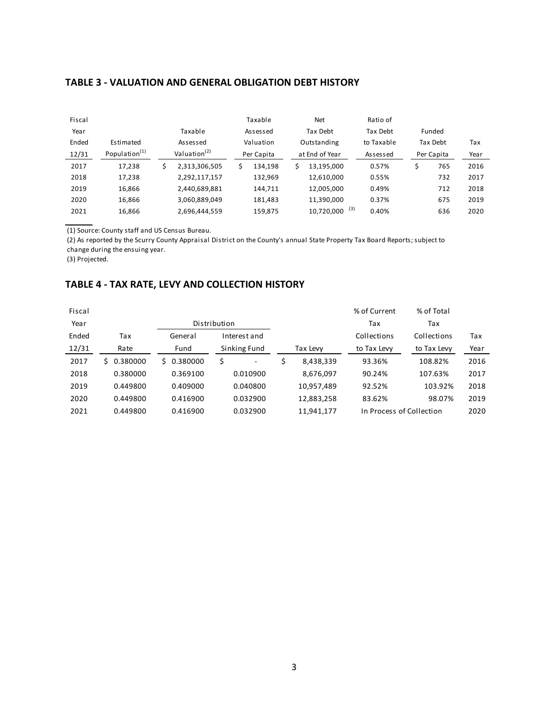| Fiscal |                           |                          |   | Taxable    |   | Net            |     | Ratio of   |            |      |
|--------|---------------------------|--------------------------|---|------------|---|----------------|-----|------------|------------|------|
| Year   |                           | Taxable                  |   | Assessed   |   | Tax Debt       |     | Tax Debt   | Funded     |      |
| Ended  | Estimated                 | Assessed                 |   | Valuation  |   | Outstanding    |     | to Taxable | Tax Debt   | Tax  |
| 12/31  | Population <sup>(1)</sup> | Valuation <sup>(2)</sup> |   | Per Capita |   | at End of Year |     | Assessed   | Per Capita | Year |
| 2017   | 17,238                    | \$<br>2,313,306,505      | Ś | 134.198    | Ś | 13,195,000     |     | 0.57%      | \$<br>765  | 2016 |
| 2018   | 17,238                    | 2,292,117,157            |   | 132,969    |   | 12,610,000     |     | 0.55%      | 732        | 2017 |
| 2019   | 16,866                    | 2,440,689,881            |   | 144,711    |   | 12,005,000     |     | 0.49%      | 712        | 2018 |
| 2020   | 16,866                    | 3,060,889,049            |   | 181.483    |   | 11,390,000     |     | 0.37%      | 675        | 2019 |
| 2021   | 16,866                    | 2,696,444,559            |   | 159,875    |   | 10,720,000     | (3) | 0.40%      | 636        | 2020 |

(1) Source: County staff and US Census Bureau.

(2) As reported by the Scurry County Appraisal District on the County's annual State Property Tax Board Reports; subject to change during the ensuing year.

#### (3) Projected.

#### **TABLE 4 - TAX RATE, LEVY AND COLLECTION HISTORY**

| Fiscal |                |                |              |          |            | % of Current             | % of Total  |      |
|--------|----------------|----------------|--------------|----------|------------|--------------------------|-------------|------|
| Year   |                | Distribution   |              |          |            | Tax                      | Tax         |      |
| Ended  | Tax            | General        | Interest and |          |            | Collections              | Collections | Tax  |
| 12/31  | Rate           | Fund           | Sinking Fund | Tax Levy |            | to Tax Levy              | to Tax Levy | Year |
| 2017   | 0.380000<br>S. | 0.380000<br>S. | \$<br>٠      | \$       | 8,438,339  | 93.36%                   | 108.82%     | 2016 |
| 2018   | 0.380000       | 0.369100       | 0.010900     |          | 8,676,097  | 90.24%                   | 107.63%     | 2017 |
| 2019   | 0.449800       | 0.409000       | 0.040800     |          | 10,957,489 | 92.52%                   | 103.92%     | 2018 |
| 2020   | 0.449800       | 0.416900       | 0.032900     |          | 12,883,258 | 83.62%                   | 98.07%      | 2019 |
| 2021   | 0.449800       | 0.416900       | 0.032900     |          | 11,941,177 | In Process of Collection |             | 2020 |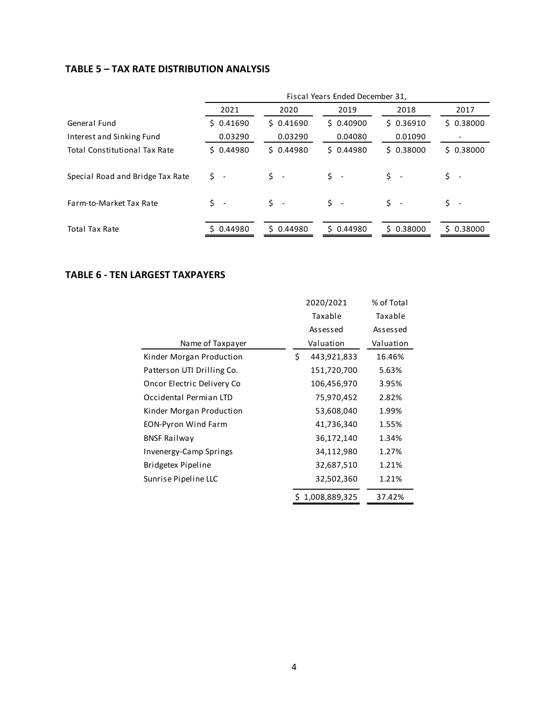#### **TABLE 5 – TAX RATE DISTRIBUTION ANALYSIS**

|                                      | Fiscal Years Ended December 31, |           |                                 |                                |                          |  |  |  |  |
|--------------------------------------|---------------------------------|-----------|---------------------------------|--------------------------------|--------------------------|--|--|--|--|
|                                      | 2021                            | 2020      | 2019                            | 2018                           | 2017                     |  |  |  |  |
| General Fund                         | \$0.41690                       | \$0.41690 | \$0.40900                       | \$0.36910                      | \$0.38000                |  |  |  |  |
| Interest and Sinking Fund            | 0.03290                         | 0.03290   | 0.04080                         | 0.01090                        |                          |  |  |  |  |
| <b>Total Constitutional Tax Rate</b> | \$0.44980                       | \$0.44980 | \$0.44980                       | \$0.38000                      | \$0.38000                |  |  |  |  |
| Special Road and Bridge Tax Rate     | Ś -                             | \$ -      | \$.<br>$\overline{\phantom{a}}$ | $\mathsf{S}$ -                 | $\overline{\phantom{a}}$ |  |  |  |  |
| Farm-to-Market Tax Rate              | $\dot{\mathsf{S}}$ -            | \$ -      | \$                              | Ś.<br>$\overline{\phantom{a}}$ |                          |  |  |  |  |
| <b>Total Tax Rate</b>                | 0.44980                         | \$0.44980 | \$0.44980                       | \$0.38000                      | ς.<br>0.38000            |  |  |  |  |

#### **TABLE 6 - TEN LARGEST TAXPAYERS**

|                            | 2020/2021         | % of Total |
|----------------------------|-------------------|------------|
|                            | Taxable           | Taxable    |
|                            | Assessed          | Assessed   |
| Name of Taxpayer           | Valuation         | Valuation  |
| Kinder Morgan Production   | \$<br>443,921,833 | 16.46%     |
| Patterson UTI Drilling Co. | 151,720,700       | 5.63%      |
| Oncor Electric Delivery Co | 106,456,970       | 3.95%      |
| Occidental Permian LTD     | 75,970,452        | 2.82%      |
| Kinder Morgan Production   | 53,608,040        | 1.99%      |
| <b>EON-Pyron Wind Farm</b> | 41,736,340        | 1.55%      |
| <b>BNSF Railway</b>        | 36,172,140        | 1.34%      |
| Invenergy-Camp Springs     | 34,112,980        | 1.27%      |
| Bridgetex Pipeline         | 32,687,510        | 1.21%      |
| Sunrise Pipeline LLC       | 32,502,360        | 1.21%      |
|                            | 1,008,889,325     | 37.42%     |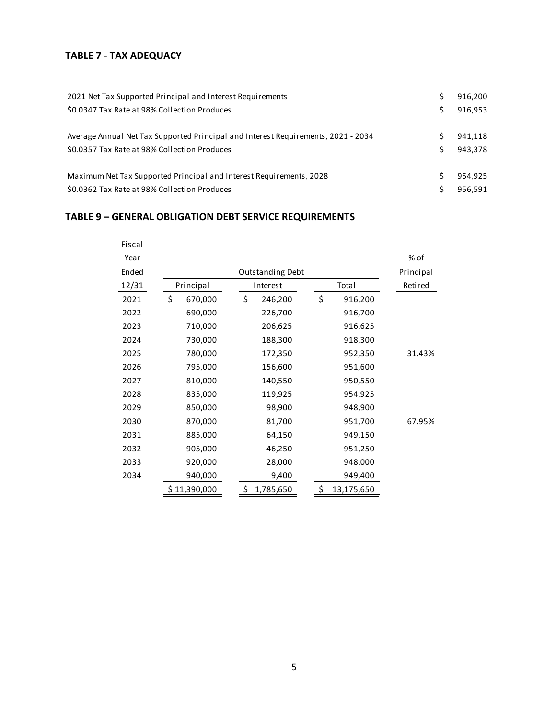#### **TABLE 7 - TAX ADEQUACY**

| 2021 Net Tax Supported Principal and Interest Requirements                        | Ś  | 916,200 |
|-----------------------------------------------------------------------------------|----|---------|
| \$0.0347 Tax Rate at 98% Collection Produces                                      | S  | 916.953 |
| Average Annual Net Tax Supported Principal and Interest Requirements, 2021 - 2034 | S  | 941.118 |
| \$0.0357 Tax Rate at 98% Collection Produces                                      | S. | 943.378 |
| Maximum Net Tax Supported Principal and Interest Requirements, 2028               | S  | 954.925 |
| \$0.0362 Tax Rate at 98% Collection Produces                                      | S  | 956.591 |

# **TABLE 9 – GENERAL OBLIGATION DEBT SERVICE REQUIREMENTS**

| Fiscal |               |                  |                  |           |
|--------|---------------|------------------|------------------|-----------|
| Year   |               |                  |                  | % of      |
| Ended  |               | Outstanding Debt |                  | Principal |
| 12/31  | Principal     | Interest         | Total            | Retired   |
| 2021   | \$<br>670,000 | \$<br>246,200    | \$<br>916,200    |           |
| 2022   | 690,000       | 226,700          | 916,700          |           |
| 2023   | 710,000       | 206,625          | 916,625          |           |
| 2024   | 730,000       | 188,300          | 918,300          |           |
| 2025   | 780,000       | 172,350          | 952,350          | 31.43%    |
| 2026   | 795,000       | 156,600          | 951,600          |           |
| 2027   | 810,000       | 140,550          | 950,550          |           |
| 2028   | 835,000       | 119,925          | 954,925          |           |
| 2029   | 850,000       | 98,900           | 948,900          |           |
| 2030   | 870,000       | 81,700           | 951,700          | 67.95%    |
| 2031   | 885,000       | 64,150           | 949,150          |           |
| 2032   | 905,000       | 46,250           | 951,250          |           |
| 2033   | 920,000       | 28,000           | 948,000          |           |
| 2034   | 940,000       | 9,400            | 949,400          |           |
|        | \$11,390,000  | \$<br>1,785,650  | \$<br>13,175,650 |           |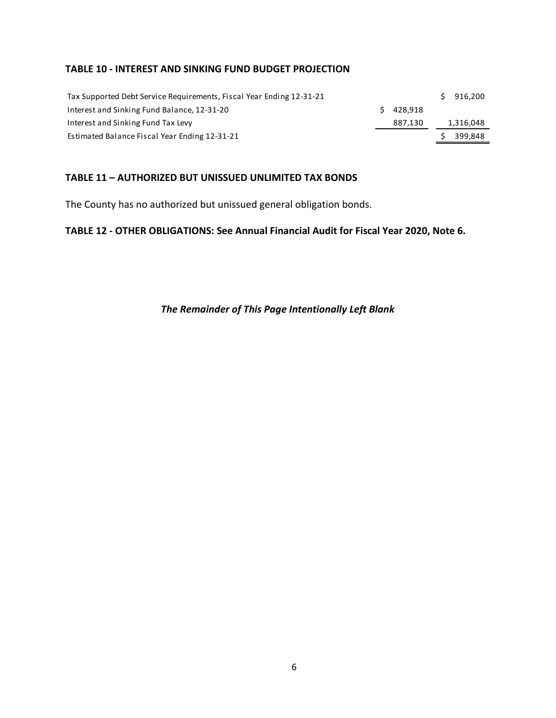#### **TABLE 10 - INTEREST AND SINKING FUND BUDGET PROJECTION**

| Tax Supported Debt Service Requirements, Fiscal Year Ending 12-31-21 |             | 916.200   |
|----------------------------------------------------------------------|-------------|-----------|
| Interest and Sinking Fund Balance, 12-31-20                          | $5$ 428.918 |           |
| Interest and Sinking Fund Tax Levy                                   | 887,130     | 1,316,048 |
| Estimated Balance Fiscal Year Ending 12-31-21                        |             | 399,848   |

#### **TABLE 11 – AUTHORIZED BUT UNISSUED UNLIMITED TAX BONDS**

The County has no authorized but unissued general obligation bonds.

# **TABLE 12 - OTHER OBLIGATIONS: See Annual Financial Audit for Fiscal Year 2020, Note 6.**

#### *The Remainder of This Page Intentionally Left Blank*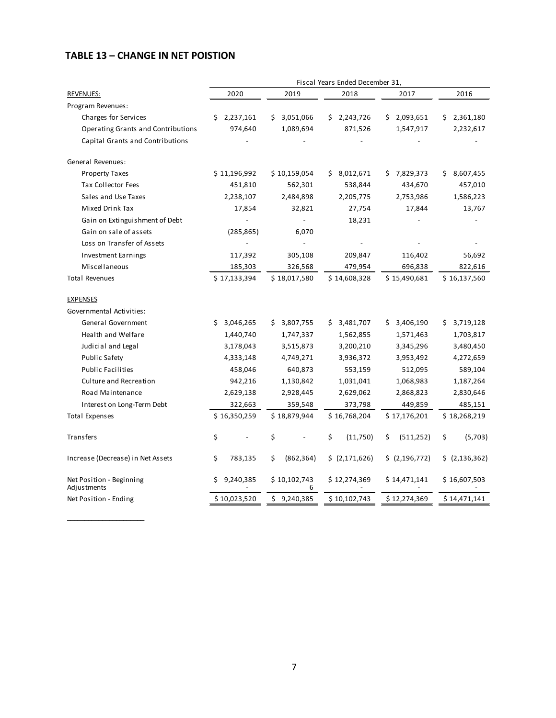# **TABLE 13 – CHANGE IN NET POISTION**

\_\_\_\_\_\_\_\_\_\_\_\_\_\_\_\_\_\_\_\_\_\_

|                                         | Fiscal Years Ended December 31, |                   |                 |                  |                  |  |  |
|-----------------------------------------|---------------------------------|-------------------|-----------------|------------------|------------------|--|--|
| REVENUES:                               | 2020                            | 2019              | 2018            | 2017             | 2016             |  |  |
| Program Revenues:                       |                                 |                   |                 |                  |                  |  |  |
| Charges for Services                    | 2,237,161                       | 3,051,066<br>S    | \$2,243,726     | \$2,093,651      | 2,361,180<br>\$. |  |  |
| Operating Grants and Contributions      | 974,640                         | 1,089,694         | 871,526         | 1,547,917        | 2,232,617        |  |  |
| Capital Grants and Contributions        |                                 |                   |                 |                  |                  |  |  |
| General Revenues:                       |                                 |                   |                 |                  |                  |  |  |
| <b>Property Taxes</b>                   | \$11,196,992                    | \$10,159,054      | 8,012,671<br>\$ | 7,829,373<br>S   | 8,607,455<br>\$  |  |  |
| <b>Tax Collector Fees</b>               | 451,810                         | 562,301           | 538,844         | 434,670          | 457,010          |  |  |
| Sales and Use Taxes                     | 2,238,107                       | 2,484,898         | 2,205,775       | 2,753,986        | 1,586,223        |  |  |
| Mixed Drink Tax                         | 17,854                          | 32,821            | 27,754          | 17,844           | 13,767           |  |  |
| Gain on Extinguishment of Debt          |                                 | $\overline{a}$    | 18,231          |                  |                  |  |  |
| Gain on sale of assets                  | (285, 865)                      | 6,070             |                 |                  |                  |  |  |
| Loss on Transfer of Assets              |                                 |                   |                 |                  |                  |  |  |
| <b>Investment Earnings</b>              | 117,392                         | 305,108           | 209,847         | 116,402          | 56,692           |  |  |
| Miscellaneous                           | 185,303                         | 326,568           | 479,954         | 696,838          | 822,616          |  |  |
| <b>Total Revenues</b>                   | \$17,133,394                    | \$18,017,580      | \$14,608,328    | \$15,490,681     | \$16,137,560     |  |  |
| <b>EXPENSES</b>                         |                                 |                   |                 |                  |                  |  |  |
| Governmental Activities:                |                                 |                   |                 |                  |                  |  |  |
| General Government                      | 3,046,265<br>Ś.                 | 3,807,755<br>\$   | 3,481,707<br>S  | 3,406,190<br>S   | 3,719,128<br>\$  |  |  |
| <b>Health and Welfare</b>               | 1,440,740                       | 1,747,337         | 1,562,855       | 1,571,463        | 1,703,817        |  |  |
| Judicial and Legal                      | 3,178,043                       | 3,515,873         | 3,200,210       | 3,345,296        | 3,480,450        |  |  |
| <b>Public Safety</b>                    | 4,333,148                       | 4,749,271         | 3,936,372       | 3,953,492        | 4,272,659        |  |  |
| <b>Public Facilities</b>                | 458,046                         | 640,873           | 553,159         | 512,095          | 589,104          |  |  |
| <b>Culture and Recreation</b>           | 942,216                         | 1,130,842         | 1,031,041       | 1,068,983        | 1,187,264        |  |  |
| Road Maintenance                        | 2,629,138                       | 2,928,445         | 2,629,062       | 2,868,823        | 2,830,646        |  |  |
| Interest on Long-Term Debt              | 322,663                         | 359,548           | 373,798         | 449,859          | 485,151          |  |  |
| <b>Total Expenses</b>                   | \$16,350,259                    | \$18,879,944      | \$16,768,204    | \$17,176,201     | \$18,268,219     |  |  |
| Transfers                               | \$                              | \$                | \$<br>(11,750)  | \$<br>(511, 252) | \$<br>(5,703)    |  |  |
| Increase (Decrease) in Net Assets       | \$<br>783,135                   | \$<br>(862, 364)  | \$ (2,171,626)  | \$ (2, 196, 772) | \$ (2, 136, 362) |  |  |
| Net Position - Beginning<br>Adjustments | 9,240,385<br>Ś                  | \$10,102,743<br>6 | \$12,274,369    | \$14,471,141     | \$16,607,503     |  |  |
| Net Position - Ending                   | \$10,023,520                    | \$9,240,385       | \$10,102,743    | \$12,274,369     | \$14,471,141     |  |  |